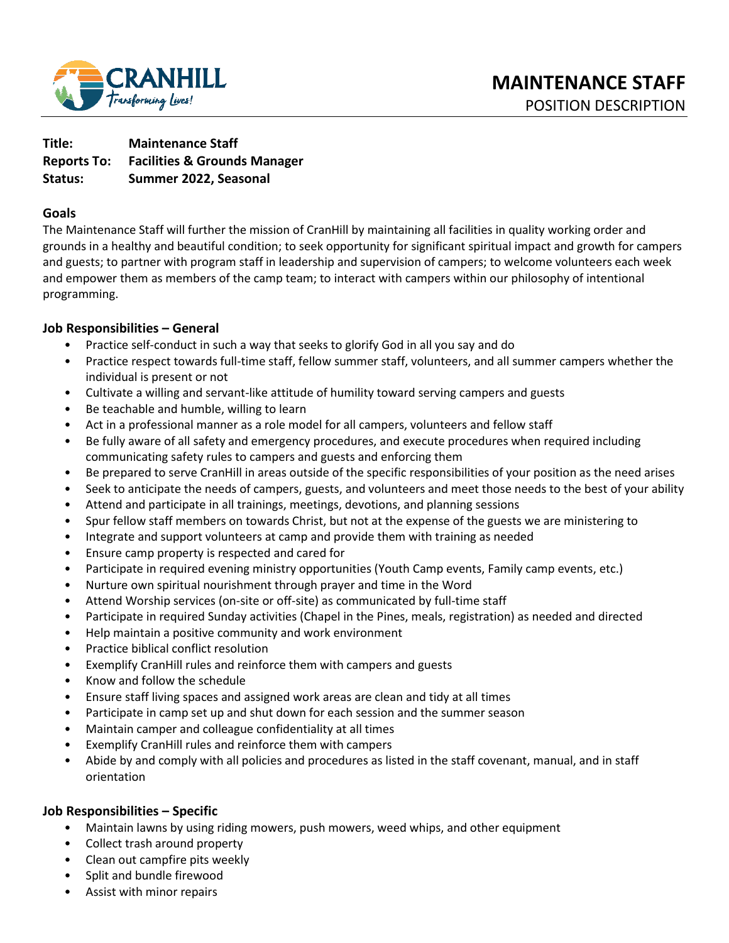

**Title: Maintenance Staff Reports To: Facilities & Grounds Manager Status: Summer 2022, Seasonal** 

#### **Goals**

The Maintenance Staff will further the mission of CranHill by maintaining all facilities in quality working order and grounds in a healthy and beautiful condition; to seek opportunity for significant spiritual impact and growth for campers and guests; to partner with program staff in leadership and supervision of campers; to welcome volunteers each week and empower them as members of the camp team; to interact with campers within our philosophy of intentional programming.

### **Job Responsibilities – General**

- Practice self-conduct in such a way that seeks to glorify God in all you say and do
- Practice respect towards full-time staff, fellow summer staff, volunteers, and all summer campers whether the individual is present or not
- Cultivate a willing and servant-like attitude of humility toward serving campers and guests
- Be teachable and humble, willing to learn
- Act in a professional manner as a role model for all campers, volunteers and fellow staff
- Be fully aware of all safety and emergency procedures, and execute procedures when required including communicating safety rules to campers and guests and enforcing them
- Be prepared to serve CranHill in areas outside of the specific responsibilities of your position as the need arises
- Seek to anticipate the needs of campers, guests, and volunteers and meet those needs to the best of your ability
- Attend and participate in all trainings, meetings, devotions, and planning sessions
- Spur fellow staff members on towards Christ, but not at the expense of the guests we are ministering to
- Integrate and support volunteers at camp and provide them with training as needed
- Ensure camp property is respected and cared for
- Participate in required evening ministry opportunities (Youth Camp events, Family camp events, etc.)
- Nurture own spiritual nourishment through prayer and time in the Word
- Attend Worship services (on-site or off-site) as communicated by full-time staff
- Participate in required Sunday activities (Chapel in the Pines, meals, registration) as needed and directed
- Help maintain a positive community and work environment
- Practice biblical conflict resolution
- Exemplify CranHill rules and reinforce them with campers and guests
- Know and follow the schedule
- Ensure staff living spaces and assigned work areas are clean and tidy at all times
- Participate in camp set up and shut down for each session and the summer season
- Maintain camper and colleague confidentiality at all times
- Exemplify CranHill rules and reinforce them with campers
- Abide by and comply with all policies and procedures as listed in the staff covenant, manual, and in staff orientation

#### **Job Responsibilities – Specific**

- Maintain lawns by using riding mowers, push mowers, weed whips, and other equipment
- Collect trash around property
- Clean out campfire pits weekly
- Split and bundle firewood
- Assist with minor repairs